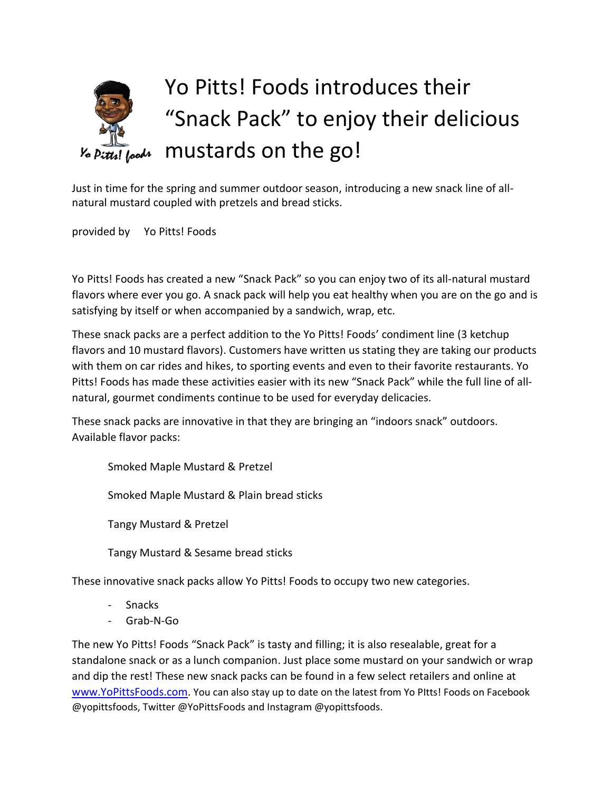## Yo Pitts! Foods introduces their "Snack Pack" to enjoy their delicious mustards on the go! tr! loods

Just in time for the spring and summer outdoor season, introducing a new snack line of allnatural mustard coupled with pretzels and bread sticks.

provided by Yo Pitts! Foods

Yo Pitts! Foods has created a new "Snack Pack" so you can enjoy two of its all-natural mustard flavors where ever you go. A snack pack will help you eat healthy when you are on the go and is satisfying by itself or when accompanied by a sandwich, wrap, etc.

These snack packs are a perfect addition to the Yo Pitts! Foods' condiment line (3 ketchup flavors and 10 mustard flavors). Customers have written us stating they are taking our products with them on car rides and hikes, to sporting events and even to their favorite restaurants. Yo Pitts! Foods has made these activities easier with its new "Snack Pack" while the full line of allnatural, gourmet condiments continue to be used for everyday delicacies.

These snack packs are innovative in that they are bringing an "indoors snack" outdoors. Available flavor packs:

Smoked Maple Mustard & Pretzel

Smoked Maple Mustard & Plain bread sticks

Tangy Mustard & Pretzel

Tangy Mustard & Sesame bread sticks

These innovative snack packs allow Yo Pitts! Foods to occupy two new categories.

- Snacks
- Grab-N-Go

The new Yo Pitts! Foods "Snack Pack" is tasty and filling; it is also resealable, great for a standalone snack or as a lunch companion. Just place some mustard on your sandwich or wrap and dip the rest! These new snack packs can be found in a few select retailers and online at [www.YoPittsFoods.com.](http://www.yopittsfoods.com/) You can also stay up to date on the latest from Yo Pitts! Foods on Facebook @yopittsfoods, Twitter @YoPittsFoods and Instagram @yopittsfoods.